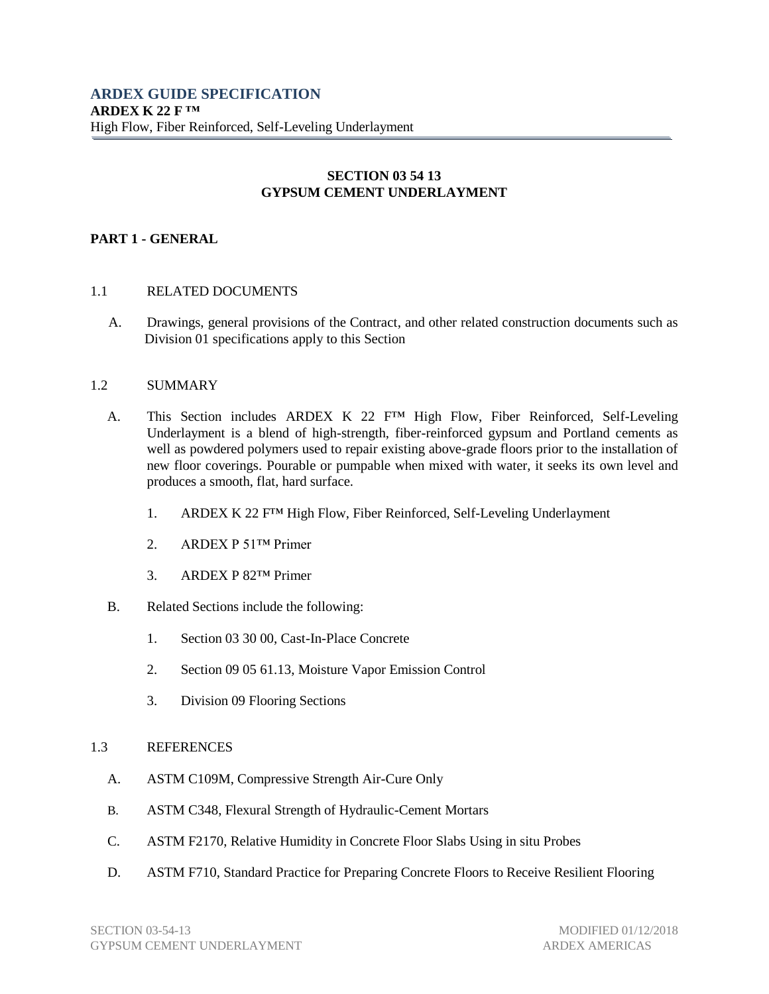# **SECTION 03 54 13 GYPSUM CEMENT UNDERLAYMENT**

### **PART 1 - GENERAL**

#### 1.1 RELATED DOCUMENTS

A. Drawings, general provisions of the Contract, and other related construction documents such as Division 01 specifications apply to this Section

#### 1.2 SUMMARY

- A. This Section includes ARDEX K 22 F<sup>TM</sup> High Flow, Fiber Reinforced, Self-Leveling Underlayment is a blend of high-strength, fiber-reinforced gypsum and Portland cements as well as powdered polymers used to repair existing above-grade floors prior to the installation of new floor coverings. Pourable or pumpable when mixed with water, it seeks its own level and produces a smooth, flat, hard surface.
	- 1. ARDEX K 22 F™ High Flow, Fiber Reinforced, Self-Leveling Underlayment
	- 2. ARDEX P 51™ Primer
	- 3. ARDEX P 82™ Primer
- B. Related Sections include the following:
	- 1. Section 03 30 00, Cast-In-Place Concrete
	- 2. Section 09 05 61.13, Moisture Vapor Emission Control
	- 3. Division 09 Flooring Sections

### 1.3 REFERENCES

- A. ASTM C109M, Compressive Strength Air-Cure Only
- B. ASTM C348, Flexural Strength of Hydraulic-Cement Mortars
- C. ASTM F2170, Relative Humidity in Concrete Floor Slabs Using in situ Probes
- D. ASTM F710, Standard Practice for Preparing Concrete Floors to Receive Resilient Flooring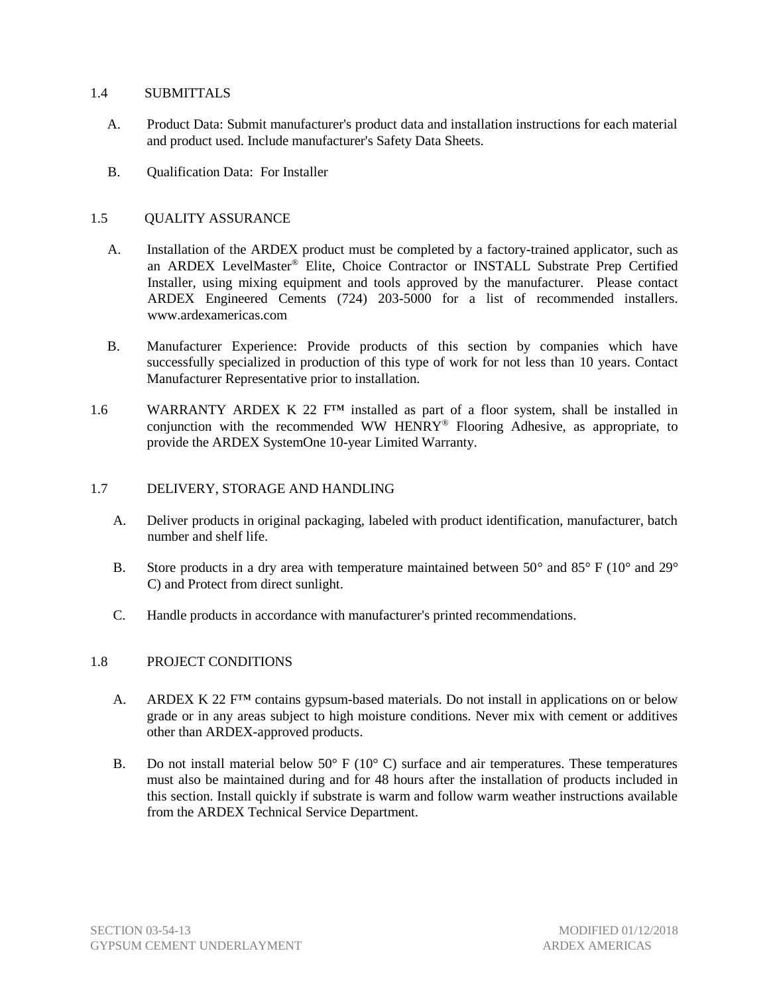### 1.4 SUBMITTALS

- A. Product Data: Submit manufacturer's product data and installation instructions for each material and product used. Include manufacturer's Safety Data Sheets.
- B. Qualification Data: For Installer

## 1.5 QUALITY ASSURANCE

- A. Installation of the ARDEX product must be completed by a factory-trained applicator, such as an ARDEX LevelMaster® Elite, Choice Contractor or INSTALL Substrate Prep Certified Installer, using mixing equipment and tools approved by the manufacturer. Please contact ARDEX Engineered Cements (724) 203-5000 for a list of recommended installers. www.ardexamericas.com
- B. Manufacturer Experience: Provide products of this section by companies which have successfully specialized in production of this type of work for not less than 10 years. Contact Manufacturer Representative prior to installation.
- 1.6 WARRANTY ARDEX K 22 F<sup>TM</sup> installed as part of a floor system, shall be installed in conjunction with the recommended WW HENRY® Flooring Adhesive, as appropriate, to provide the ARDEX SystemOne 10-year Limited Warranty.

### 1.7 DELIVERY, STORAGE AND HANDLING

- A. Deliver products in original packaging, labeled with product identification, manufacturer, batch number and shelf life.
- B. Store products in a dry area with temperature maintained between  $50^{\circ}$  and  $85^{\circ}$  F (10° and 29° C) and Protect from direct sunlight.
- C. Handle products in accordance with manufacturer's printed recommendations.

### 1.8 PROJECT CONDITIONS

- A. ARDEX K 22  $F^{TM}$  contains gypsum-based materials. Do not install in applications on or below grade or in any areas subject to high moisture conditions. Never mix with cement or additives other than ARDEX-approved products.
- B. Do not install material below  $50^{\circ}$  F ( $10^{\circ}$  C) surface and air temperatures. These temperatures must also be maintained during and for 48 hours after the installation of products included in this section. Install quickly if substrate is warm and follow warm weather instructions available from the ARDEX Technical Service Department.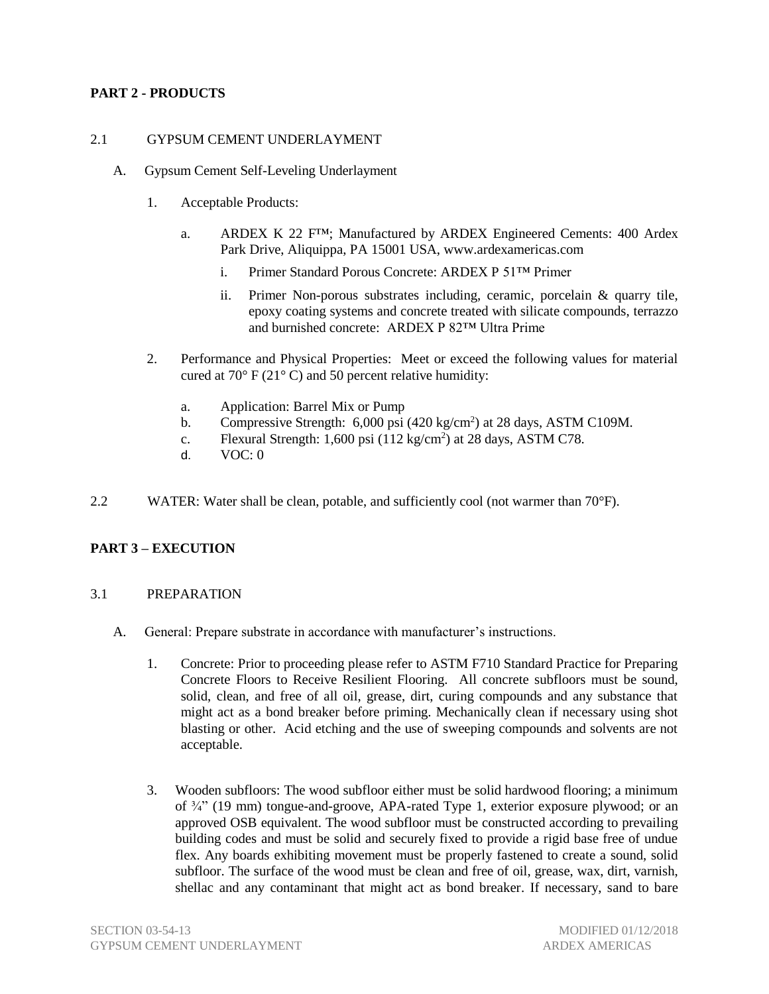# **PART 2 - PRODUCTS**

### 2.1 GYPSUM CEMENT UNDERLAYMENT

- A. Gypsum Cement Self-Leveling Underlayment
	- 1. Acceptable Products:
		- a. ARDEX K 22 F™; Manufactured by ARDEX Engineered Cements: 400 Ardex Park Drive, Aliquippa, PA 15001 USA, [www.ardexamericas.com](http://www.ardexamericas.com/)
			- i. Primer Standard Porous Concrete: ARDEX P 51™ Primer
			- ii. Primer Non-porous substrates including, ceramic, porcelain & quarry tile, epoxy coating systems and concrete treated with silicate compounds, terrazzo and burnished concrete: ARDEX P 82™ Ultra Prime
	- 2. Performance and Physical Properties: Meet or exceed the following values for material cured at  $70^{\circ}$  F (21 $^{\circ}$  C) and 50 percent relative humidity:
		- a. Application: Barrel Mix or Pump
		- b. Compressive Strength:  $6,000$  psi (420 kg/cm<sup>2</sup>) at 28 days, ASTM C109M.
		- c. Flexural Strength:  $1,600$  psi  $(112 \text{ kg/cm}^2)$  at 28 days, ASTM C78.
		- d. VOC: 0
- 2.2 WATER: Water shall be clean, potable, and sufficiently cool (not warmer than 70°F).

### **PART 3 – EXECUTION**

#### 3.1 PREPARATION

- A. General: Prepare substrate in accordance with manufacturer's instructions.
	- 1. Concrete: Prior to proceeding please refer to ASTM F710 Standard Practice for Preparing Concrete Floors to Receive Resilient Flooring. All concrete subfloors must be sound, solid, clean, and free of all oil, grease, dirt, curing compounds and any substance that might act as a bond breaker before priming. Mechanically clean if necessary using shot blasting or other. Acid etching and the use of sweeping compounds and solvents are not acceptable.
	- 3. Wooden subfloors: The wood subfloor either must be solid hardwood flooring; a minimum of  $\frac{3}{4}$  (19 mm) tongue-and-groove, APA-rated Type 1, exterior exposure plywood; or an approved OSB equivalent. The wood subfloor must be constructed according to prevailing building codes and must be solid and securely fixed to provide a rigid base free of undue flex. Any boards exhibiting movement must be properly fastened to create a sound, solid subfloor. The surface of the wood must be clean and free of oil, grease, wax, dirt, varnish, shellac and any contaminant that might act as bond breaker. If necessary, sand to bare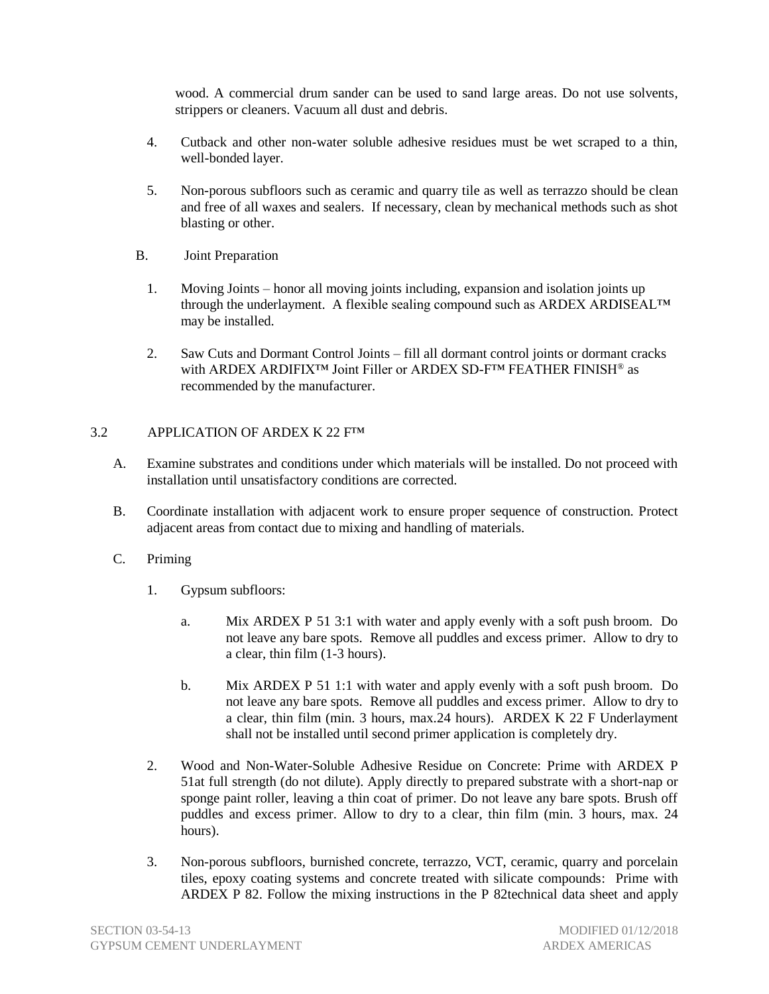wood. A commercial drum sander can be used to sand large areas. Do not use solvents, strippers or cleaners. Vacuum all dust and debris.

- 4. Cutback and other non-water soluble adhesive residues must be wet scraped to a thin, well-bonded layer.
- 5. Non-porous subfloors such as ceramic and quarry tile as well as terrazzo should be clean and free of all waxes and sealers. If necessary, clean by mechanical methods such as shot blasting or other.
- B. Joint Preparation
	- 1. Moving Joints honor all moving joints including, expansion and isolation joints up through the underlayment. A flexible sealing compound such as ARDEX ARDISEAL™ may be installed.
	- 2. Saw Cuts and Dormant Control Joints fill all dormant control joints or dormant cracks with ARDEX ARDIFIX™ Joint Filler or ARDEX SD-F™ FEATHER FINISH® as recommended by the manufacturer.

## 3.2 APPLICATION OF ARDEX K 22 F<sup>TM</sup>

- A. Examine substrates and conditions under which materials will be installed. Do not proceed with installation until unsatisfactory conditions are corrected.
- B. Coordinate installation with adjacent work to ensure proper sequence of construction. Protect adjacent areas from contact due to mixing and handling of materials.
- C. Priming
	- 1. Gypsum subfloors:
		- a. Mix ARDEX P 51 3:1 with water and apply evenly with a soft push broom. Do not leave any bare spots. Remove all puddles and excess primer. Allow to dry to a clear, thin film (1-3 hours).
		- b. Mix ARDEX P 51 1:1 with water and apply evenly with a soft push broom. Do not leave any bare spots. Remove all puddles and excess primer. Allow to dry to a clear, thin film (min. 3 hours, max.24 hours). ARDEX K 22 F Underlayment shall not be installed until second primer application is completely dry.
	- 2. Wood and Non-Water-Soluble Adhesive Residue on Concrete: Prime with ARDEX P 51at full strength (do not dilute). Apply directly to prepared substrate with a short-nap or sponge paint roller, leaving a thin coat of primer. Do not leave any bare spots. Brush off puddles and excess primer. Allow to dry to a clear, thin film (min. 3 hours, max. 24 hours).
	- 3. Non-porous subfloors, burnished concrete, terrazzo, VCT, ceramic, quarry and porcelain tiles, epoxy coating systems and concrete treated with silicate compounds: Prime with ARDEX P 82. Follow the mixing instructions in the P 82technical data sheet and apply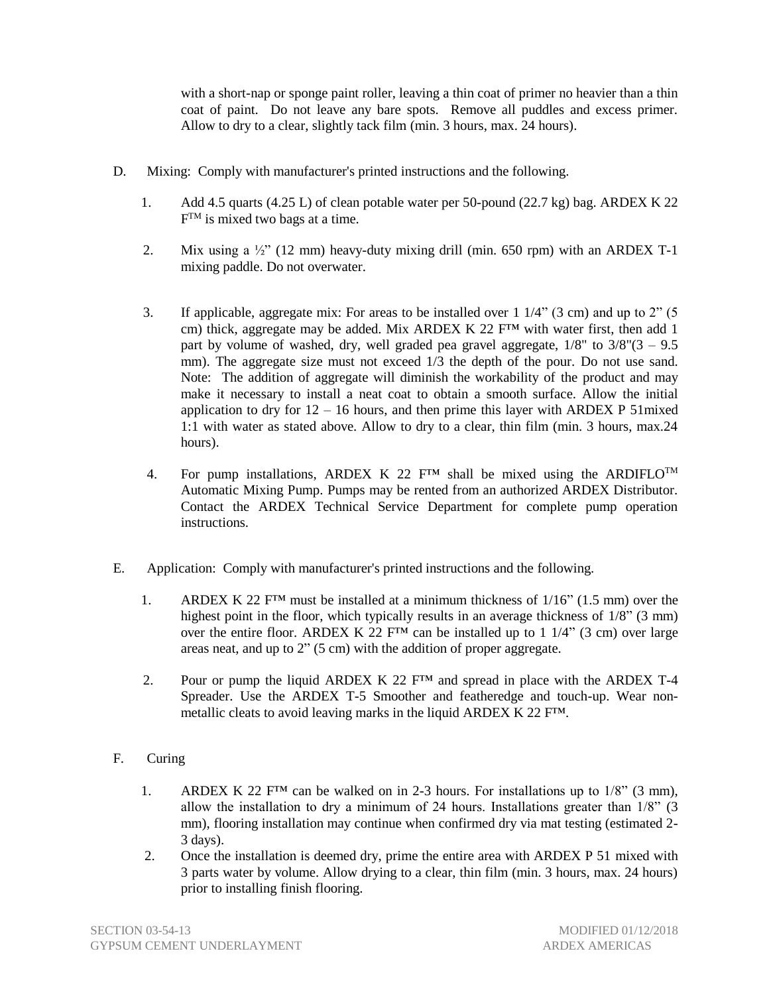with a short-nap or sponge paint roller, leaving a thin coat of primer no heavier than a thin coat of paint. Do not leave any bare spots. Remove all puddles and excess primer. Allow to dry to a clear, slightly tack film (min. 3 hours, max. 24 hours).

- D. Mixing: Comply with manufacturer's printed instructions and the following.
	- 1. Add 4.5 quarts (4.25 L) of clean potable water per 50-pound (22.7 kg) bag. ARDEX K 22  $F^{TM}$  is mixed two bags at a time.
	- 2. Mix using a  $\frac{1}{2}$ " (12 mm) heavy-duty mixing drill (min. 650 rpm) with an ARDEX T-1 mixing paddle. Do not overwater.
	- 3. If applicable, aggregate mix: For areas to be installed over 1 1/4" (3 cm) and up to 2" (5 cm) thick, aggregate may be added. Mix ARDEX K 22  $F^{TM}$  with water first, then add 1 part by volume of washed, dry, well graded pea gravel aggregate,  $1/8$ " to  $3/8$ " $(3 - 9.5)$ mm). The aggregate size must not exceed  $1/3$  the depth of the pour. Do not use sand. Note: The addition of aggregate will diminish the workability of the product and may make it necessary to install a neat coat to obtain a smooth surface. Allow the initial application to dry for  $12 - 16$  hours, and then prime this layer with ARDEX P 51 mixed 1:1 with water as stated above. Allow to dry to a clear, thin film (min. 3 hours, max.24 hours).
	- 4. For pump installations, ARDEX K 22  $F^{TM}$  shall be mixed using the ARDIFLO<sup>TM</sup> Automatic Mixing Pump. Pumps may be rented from an authorized ARDEX Distributor. Contact the ARDEX Technical Service Department for complete pump operation instructions.
- E. Application: Comply with manufacturer's printed instructions and the following.
	- 1. ARDEX K 22  $F^{TM}$  must be installed at a minimum thickness of  $1/16$ " (1.5 mm) over the highest point in the floor, which typically results in an average thickness of  $1/8$ " (3 mm) over the entire floor. ARDEX K 22  $F^{TM}$  can be installed up to 1 1/4" (3 cm) over large areas neat, and up to 2" (5 cm) with the addition of proper aggregate.
	- 2. Pour or pump the liquid ARDEX K 22  $F^{TM}$  and spread in place with the ARDEX T-4 Spreader. Use the ARDEX T-5 Smoother and featheredge and touch-up. Wear nonmetallic cleats to avoid leaving marks in the liquid ARDEX K 22 F™.
- F. Curing
	- 1. ARDEX K 22  $F^{TM}$  can be walked on in 2-3 hours. For installations up to  $1/8$ " (3 mm), allow the installation to dry a minimum of 24 hours. Installations greater than 1/8" (3 mm), flooring installation may continue when confirmed dry via mat testing (estimated 2-3 days).
	- 2. Once the installation is deemed dry, prime the entire area with ARDEX P 51 mixed with 3 parts water by volume. Allow drying to a clear, thin film (min. 3 hours, max. 24 hours) prior to installing finish flooring.